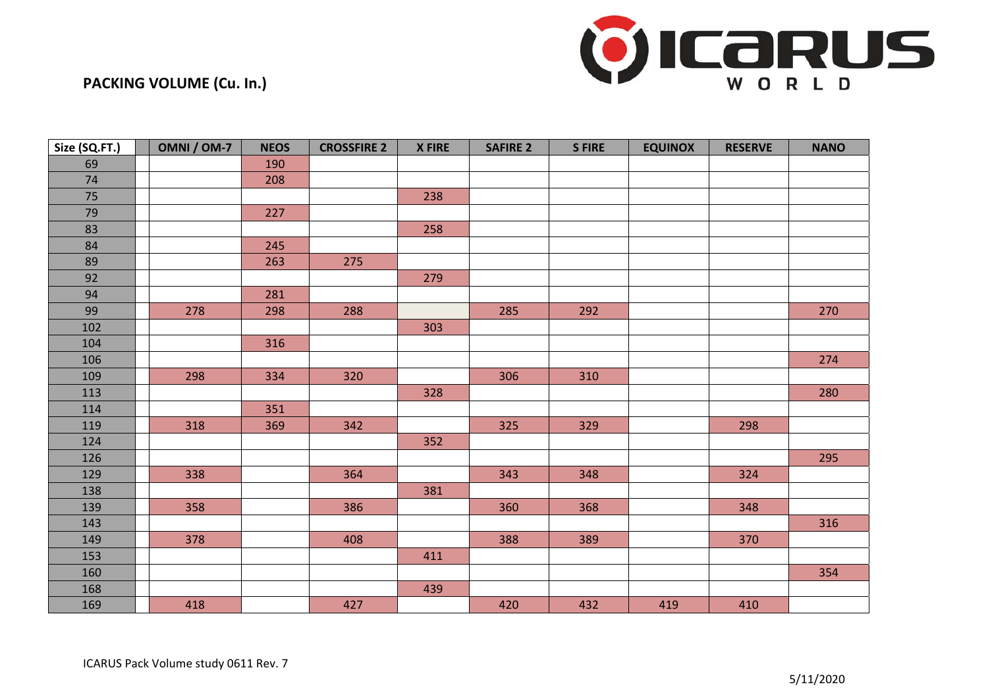

## **PACKING VOLUME (Cu. In.)**

| Size (SQ.FT.) | OMNI / OM-7 | <b>NEOS</b> | <b>CROSSFIRE 2</b> | <b>X FIRE</b> | <b>SAFIRE 2</b> | <b>SFIRE</b> | <b>EQUINOX</b> | <b>RESERVE</b> | <b>NANO</b> |
|---------------|-------------|-------------|--------------------|---------------|-----------------|--------------|----------------|----------------|-------------|
| 69            |             | 190         |                    |               |                 |              |                |                |             |
| 74            |             | 208         |                    |               |                 |              |                |                |             |
| $75\,$        |             |             |                    | 238           |                 |              |                |                |             |
| 79            |             | 227         |                    |               |                 |              |                |                |             |
| 83            |             |             |                    | 258           |                 |              |                |                |             |
| 84            |             | 245         |                    |               |                 |              |                |                |             |
| 89            |             | 263         | 275                |               |                 |              |                |                |             |
| 92            |             |             |                    | 279           |                 |              |                |                |             |
| 94            |             | 281         |                    |               |                 |              |                |                |             |
| 99            | 278         | 298         | 288                |               | 285             | 292          |                |                | 270         |
| 102           |             |             |                    | 303           |                 |              |                |                |             |
| 104           |             | 316         |                    |               |                 |              |                |                |             |
| 106           |             |             |                    |               |                 |              |                |                | 274         |
| 109           | 298         | 334         | 320                |               | 306             | 310          |                |                |             |
| 113           |             |             |                    | 328           |                 |              |                |                | 280         |
| 114           |             | 351         |                    |               |                 |              |                |                |             |
| 119           | 318         | 369         | 342                |               | 325             | 329          |                | 298            |             |
| 124           |             |             |                    | 352           |                 |              |                |                |             |
| 126           |             |             |                    |               |                 |              |                |                | 295         |
| 129           | 338         |             | 364                |               | 343             | 348          |                | 324            |             |
| 138           |             |             |                    | 381           |                 |              |                |                |             |
| 139           | 358         |             | 386                |               | 360             | 368          |                | 348            |             |
| 143           |             |             |                    |               |                 |              |                |                | 316         |
| 149           | 378         |             | 408                |               | 388             | 389          |                | 370            |             |
| 153           |             |             |                    | 411           |                 |              |                |                |             |
| 160           |             |             |                    |               |                 |              |                |                | 354         |
| 168           |             |             |                    | 439           |                 |              |                |                |             |
| 169           | 418         |             | 427                |               | 420             | 432          | 419            | 410            |             |